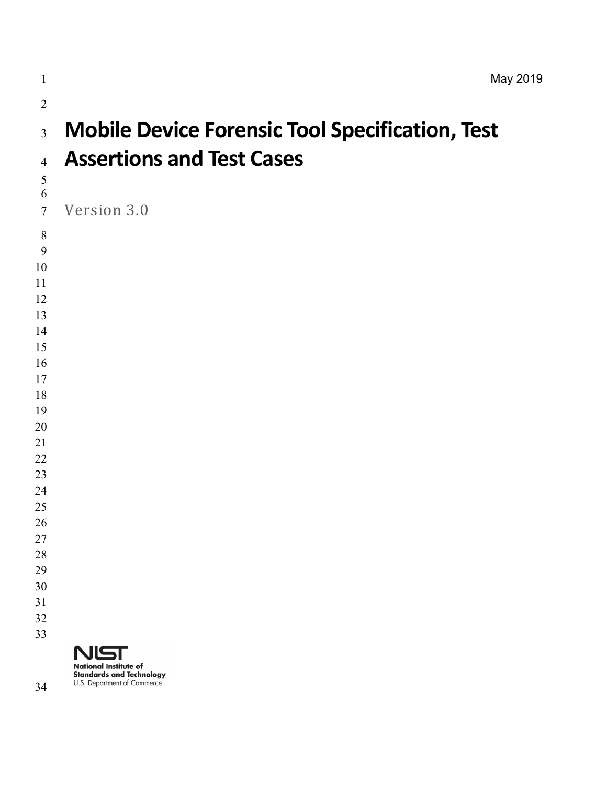**Standards and Technology** U.S. Department of Commerce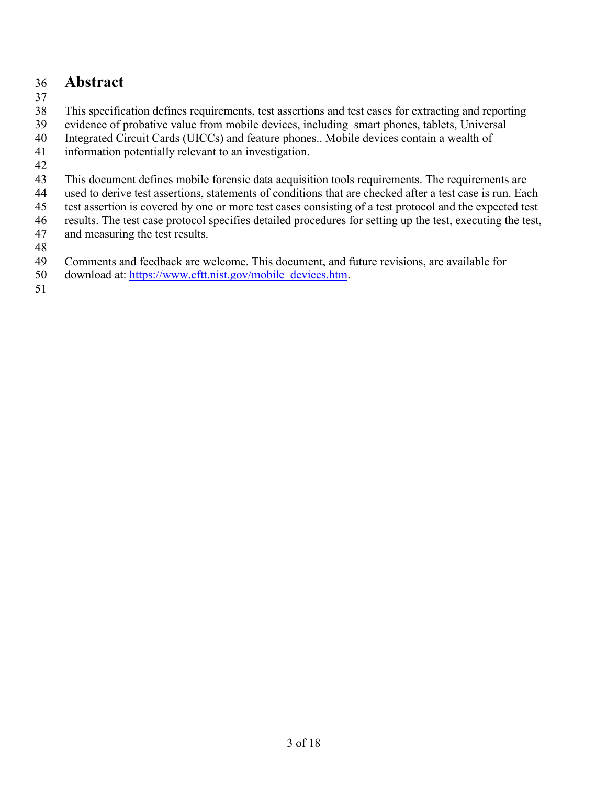### 36 **Abstract**

37

38 This specification defines requirements, test assertions and test cases for extracting and reporting

39 evidence of probative value from mobile devices, including smart phones, tablets, Universal

40 Integrated Circuit Cards (UICCs) and feature phones.. Mobile devices contain a wealth of

41 information potentially relevant to an investigation.

42

43 This document defines mobile forensic data acquisition tools requirements. The requirements are

44 used to derive test assertions, statements of conditions that are checked after a test case is run. Each

45 test assertion is covered by one or more test cases consisting of a test protocol and the expected test

46 results. The test case protocol specifies detailed procedures for setting up the test, executing the test,

- 47 and measuring the test results.
- 48

49 Comments and feedback are welcome. This document, and future revisions, are available for

50 download at: https://www.cftt.nist.gov/mobile\_devices.htm.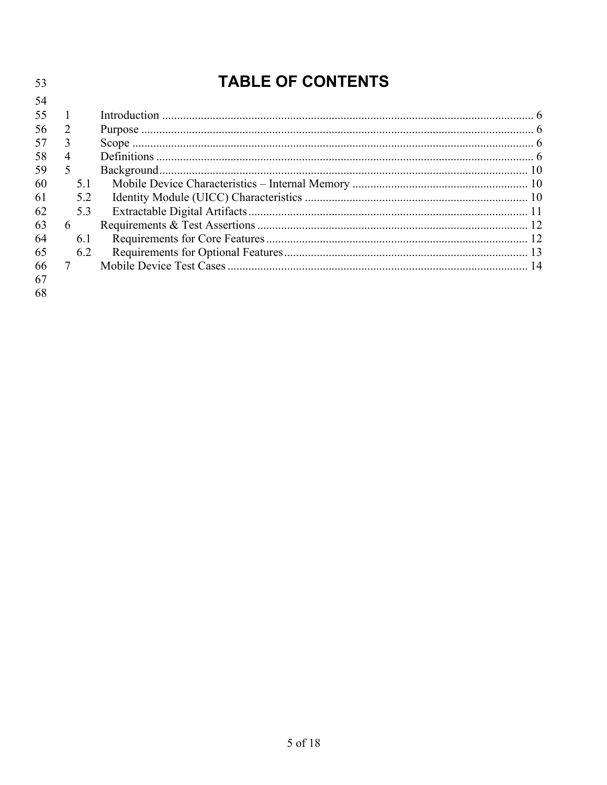| 53             |                 |     | <b>TABLE OF CONTENTS</b> |  |
|----------------|-----------------|-----|--------------------------|--|
| 54             |                 |     |                          |  |
| 55             |                 |     |                          |  |
| 56             | 2               |     |                          |  |
| 57             | 3               |     |                          |  |
| 58             | 4               |     |                          |  |
| 59             | 5               |     |                          |  |
| 60             |                 | 5.1 |                          |  |
| 61             |                 | 5.2 |                          |  |
| 62             |                 | 5.3 |                          |  |
| 63             | 6               |     |                          |  |
| 64             |                 | 6.1 |                          |  |
| 65             |                 | 6.2 |                          |  |
| 66<br>67<br>68 | $7\overline{ }$ |     |                          |  |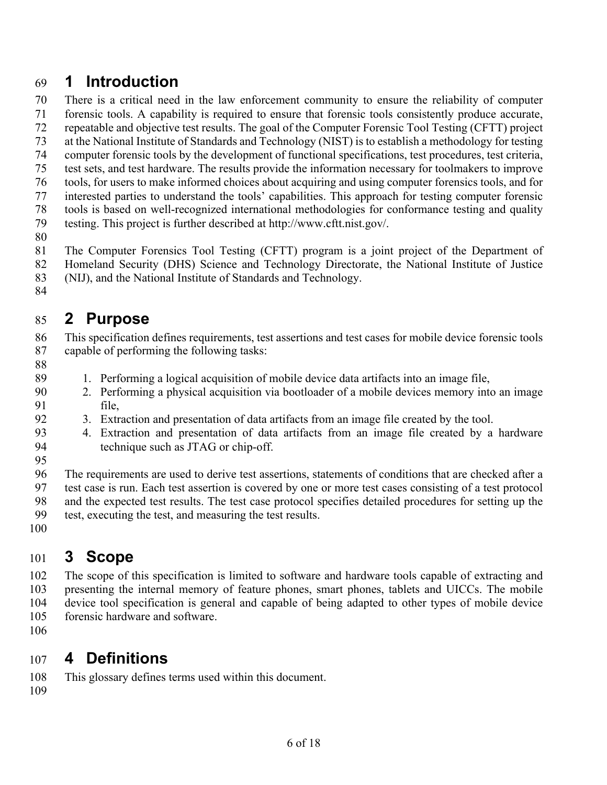# 69 **1 Introduction**

 70 There is a critical need in the law enforcement community to ensure the reliability of computer 71 forensic tools. A capability is required to ensure that forensic tools consistently produce accurate,

72 repeatable and objective test results. The goal of the Computer Forensic Tool Testing (CFTT) project

73 at the National Institute of Standards and Technology (NIST) is to establish a methodology for testing

74 computer forensic tools by the development of functional specifications, test procedures, test criteria,

- 75 test sets, and test hardware. The results provide the information necessary for toolmakers to improve
- 76 tools, for users to make informed choices about acquiring and using computer forensics tools, and for 77 interested parties to understand the tools' capabilities. This approach for testing computer forensic

78 tools is based on well-recognized international methodologies for conformance testing and quality

79 testing. This project is further described at http://www.cftt.nist.gov/.

80

 81 The Computer Forensics Tool Testing (CFTT) program is a joint project of the Department of 82 Homeland Security (DHS) Science and Technology Directorate, the National Institute of Justice 83 (NIJ), and the National Institute of Standards and Technology.

84

#### 85 **2 Purpose**

 86 This specification defines requirements, test assertions and test cases for mobile device forensic tools 87 capable of performing the following tasks:

- 88
- 89 1. Performing a logical acquisition of mobile device data artifacts into an image file,
- 90 2. Performing a physical acquisition via bootloader of a mobile devices memory into an image 91 file,
- 92 3. Extraction and presentation of data artifacts from an image file created by the tool.
- 93 4. Extraction and presentation of data artifacts from an image file created by a hardware 94 technique such as JTAG or chip-off.
- 95

 96 The requirements are used to derive test assertions, statements of conditions that are checked after a 97 test case is run. Each test assertion is covered by one or more test cases consisting of a test protocol 98 and the expected test results. The test case protocol specifies detailed procedures for setting up the

- 99 test, executing the test, and measuring the test results.
- 100

# 101 **3 Scope**

 102 The scope of this specification is limited to software and hardware tools capable of extracting and 103 presenting the internal memory of feature phones, smart phones, tablets and UICCs. The mobile 104 device tool specification is general and capable of being adapted to other types of mobile device 105 forensic hardware and software.

106

# 107 **4 Definitions**

108 This glossary defines terms used within this document.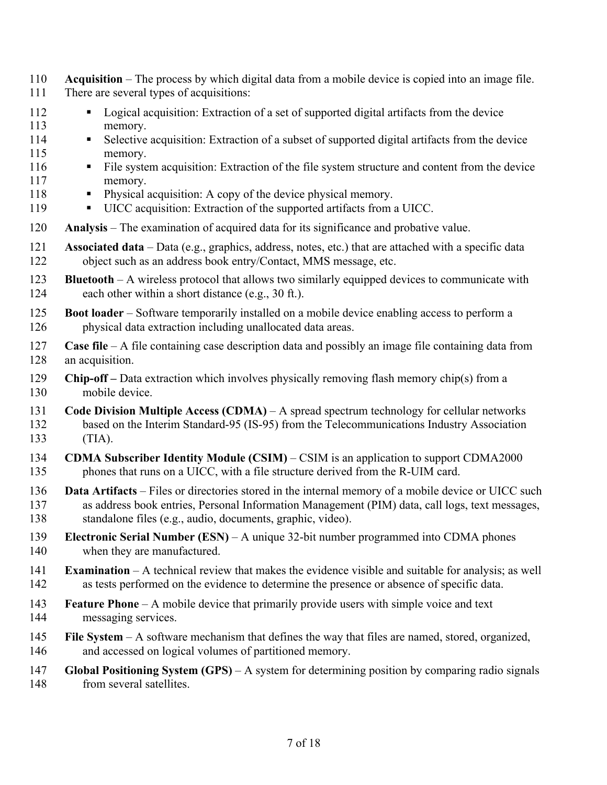- 110 **Acquisition** The process by which digital data from a mobile device is copied into an image file.
- 111 There are several types of acquisitions:
- 112 Logical acquisition: Extraction of a set of supported digital artifacts from the device 113 memory.
- 114 Selective acquisition: Extraction of a subset of supported digital artifacts from the device 115 memory.
- 116 File system acquisition: Extraction of the file system structure and content from the device 117 memory.
- 118 Physical acquisition: A copy of the device physical memory.
- 119 UICC acquisition: Extraction of the supported artifacts from a UICC.
- 120 **Analysis** The examination of acquired data for its significance and probative value.
- 121 **Associated data** Data (e.g., graphics, address, notes, etc.) that are attached with a specific data 122 object such as an address book entry/Contact, MMS message, etc.
- 123 **Bluetooth**  A wireless protocol that allows two similarly equipped devices to communicate with 124 each other within a short distance (e.g., 30 ft.).
- 125 **Boot loader**  Software temporarily installed on a mobile device enabling access to perform a 126 physical data extraction including unallocated data areas.
- 127 **Case file** A file containing case description data and possibly an image file containing data from 128 an acquisition.
- 129 **Chip-off** Data extraction which involves physically removing flash memory chip(s) from a 130 mobile device.
- 131 **Code Division Multiple Access (CDMA)** A spread spectrum technology for cellular networks 132 based on the Interim Standard-95 (IS-95) from the Telecommunications Industry Association 133 (TIA).
- 134 **CDMA Subscriber Identity Module (CSIM)** CSIM is an application to support CDMA2000 135 phones that runs on a UICC, with a file structure derived from the R-UIM card.
- 136 **Data Artifacts** Files or directories stored in the internal memory of a mobile device or UICC such 137 as address book entries, Personal Information Management (PIM) data, call logs, text messages, 138 standalone files (e.g., audio, documents, graphic, video).
- 139 **Electronic Serial Number (ESN)**  A unique 32-bit number programmed into CDMA phones 140 when they are manufactured.
- 141 **Examination**  A technical review that makes the evidence visible and suitable for analysis; as well 142 as tests performed on the evidence to determine the presence or absence of specific data.
- 143 **Feature Phone** A mobile device that primarily provide users with simple voice and text 144 messaging services.
- 145 **File System**  A software mechanism that defines the way that files are named, stored, organized, 146 and accessed on logical volumes of partitioned memory.
- 147 **Global Positioning System (GPS)** A system for determining position by comparing radio signals 148 from several satellites.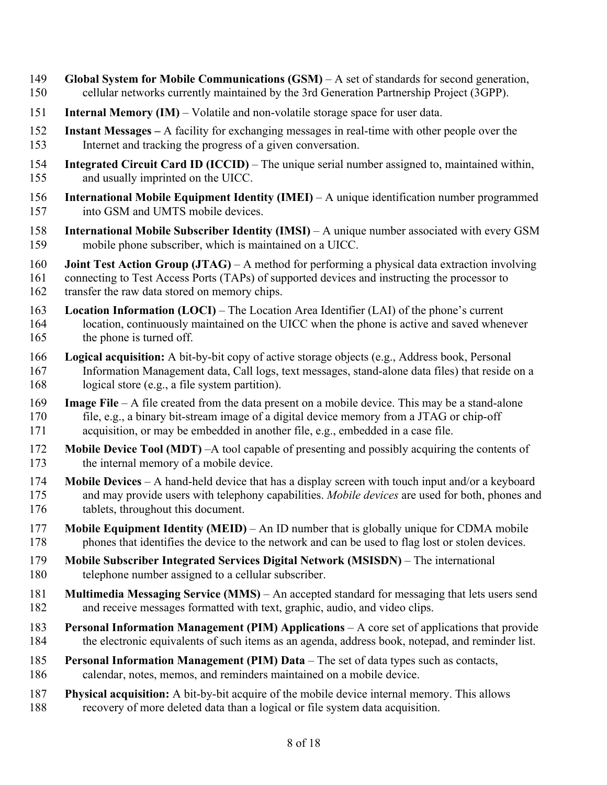- 149 **Global System for Mobile Communications (GSM)**  A set of standards for second generation, 150 cellular networks currently maintained by the 3rd Generation Partnership Project (3GPP).
- 151 **Internal Memory (IM)**  Volatile and non-volatile storage space for user data.
- 152 **Instant Messages –** A facility for exchanging messages in real-time with other people over the 153 Internet and tracking the progress of a given conversation.
- 154 **Integrated Circuit Card ID (ICCID)** The unique serial number assigned to, maintained within, 155 and usually imprinted on the UICC.
- 156 **International Mobile Equipment Identity (IMEI)**  A unique identification number programmed 157 into GSM and UMTS mobile devices.
- 159 mobile phone subscriber, which is maintained on a UICC. 158 **International Mobile Subscriber Identity (IMSI)** – A unique number associated with every GSM
- 160 **Joint Test Action Group (JTAG)**  A method for performing a physical data extraction involving

161 connecting to Test Access Ports (TAPs) of supported devices and instructing the processor to 162 transfer the raw data stored on memory chips.

- 164 location, continuously maintained on the UICC when the phone is active and saved whenever 163 **Location Information (LOCI)** – The Location Area Identifier (LAI) of the phone's current
- 165 the phone is turned off.
- 166 **Logical acquisition:** A bit-by-bit copy of active storage objects (e.g., Address book, Personal 167 Information Management data, Call logs, text messages, stand-alone data files) that reside on a 168 logical store (e.g., a file system partition).
- 170 file, e.g., a binary bit-stream image of a digital device memory from a JTAG or chip-off acquisition, or may be embedded in another file, e.g., embedded in a case file. 169 **Image File** – A file created from the data present on a mobile device. This may be a stand-alone
- 171 acquisition, or may be embedded in another file, e.g., embedded in a case file. 172 **Mobile Device Tool (MDT)** –A tool capable of presenting and possibly acquiring the contents of 173 the internal memory of a mobile device.
- 174 **Mobile Devices** A hand-held device that has a display screen with touch input and/or a keyboard 175 and may provide users with telephony capabilities. *Mobile devices* are used for both, phones and 176 tablets, throughout this document.
- 177 **Mobile Equipment Identity (MEID)** An ID number that is globally unique for CDMA mobile 178 phones that identifies the device to the network and can be used to flag lost or stolen devices.
- 179 **Mobile Subscriber Integrated Services Digital Network (MSISDN)**  The international 180 telephone number assigned to a cellular subscriber.
- 181 **Multimedia Messaging Service (MMS)** An accepted standard for messaging that lets users send 182 and receive messages formatted with text, graphic, audio, and video clips.
- 183 **Personal Information Management (PIM) Applications** A core set of applications that provide 184 the electronic equivalents of such items as an agenda, address book, notepad, and reminder list.
- 186 calendar, notes, memos, and reminders maintained on a mobile device. 185 **Personal Information Management (PIM) Data** – The set of data types such as contacts,
- 187 **Physical acquisition:** A bit-by-bit acquire of the mobile device internal memory. This allows 188 recovery of more deleted data than a logical or file system data acquisition.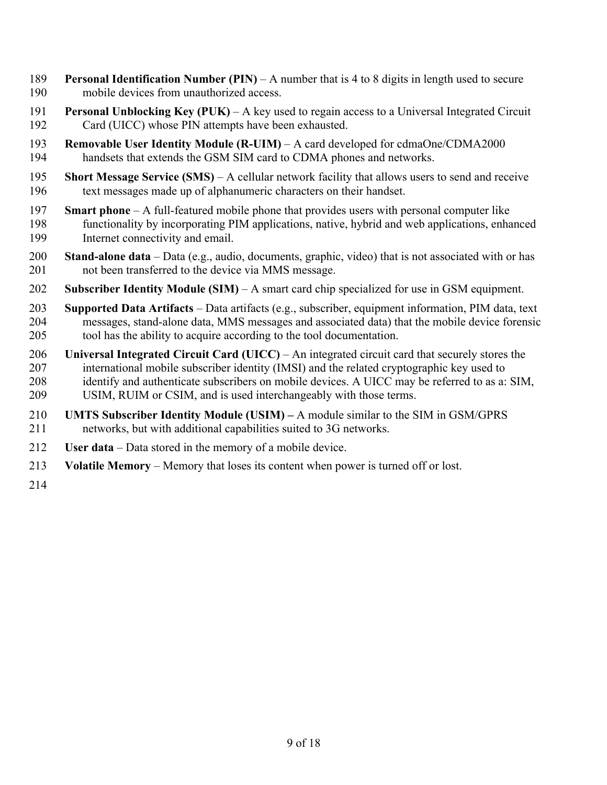- 189 **Personal Identification Number (PIN)**  A number that is 4 to 8 digits in length used to secure 190 mobile devices from unauthorized access.
- 191 **Personal Unblocking Key (PUK)** A key used to regain access to a Universal Integrated Circuit 192 Card (UICC) whose PIN attempts have been exhausted.
- 193 **Removable User Identity Module (R-UIM)** A card developed for cdmaOne/CDMA2000 194 handsets that extends the GSM SIM card to CDMA phones and networks.
- 195 **Short Message Service (SMS)**  A cellular network facility that allows users to send and receive 196 text messages made up of alphanumeric characters on their handset.
- 197 **Smart phone** A full-featured mobile phone that provides users with personal computer like Internet connectivity and email. 198 functionality by incorporating PIM applications, native, hybrid and web applications, enhanced
- 199 Internet connectivity and email. 200 **Stand-alone data** Data (e.g., audio, documents, graphic, video) that is not associated with or has 201 not been transferred to the device via MMS message.
- 202 **Subscriber Identity Module (SIM)**  A smart card chip specialized for use in GSM equipment.
- 203 **Supported Data Artifacts** Data artifacts (e.g., subscriber, equipment information, PIM data, text 204 messages, stand-alone data, MMS messages and associated data) that the mobile device forensic 205 tool has the ability to acquire according to the tool documentation.
- 206 **Universal Integrated Circuit Card (UICC)**  An integrated circuit card that securely stores the 207 international mobile subscriber identity (IMSI) and the related cryptographic key used to 208 identify and authenticate subscribers on mobile devices. A UICC may be referred to as a: SIM, 209 USIM, RUIM or CSIM, and is used interchangeably with those terms.
- 210 **UMTS Subscriber Identity Module (USIM)** A module similar to the SIM in GSM/GPRS 211 networks, but with additional capabilities suited to 3G networks.
- 212 **User data** Data stored in the memory of a mobile device.
- 213 **Volatile Memory** Memory that loses its content when power is turned off or lost.
- 214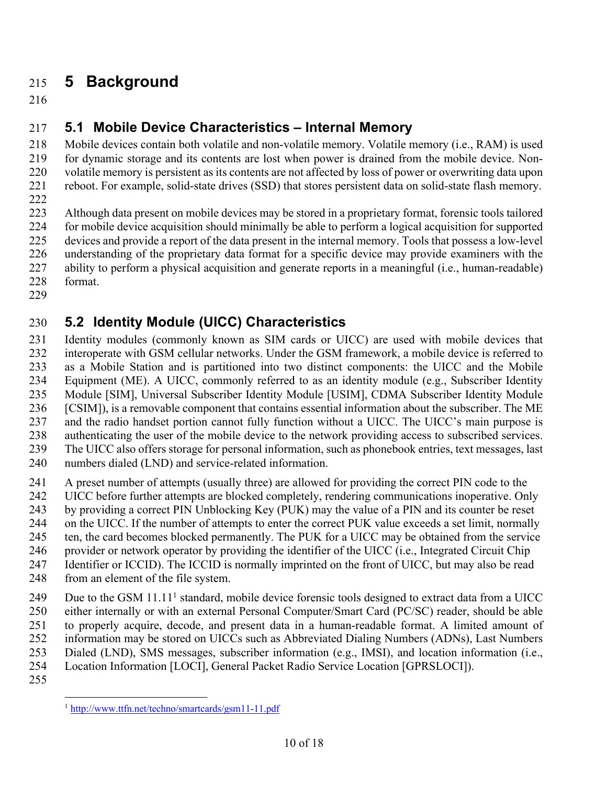# 215 **5 Background**

216

# 217 **5.1 Mobile Device Characteristics – Internal Memory**

 218 Mobile devices contain both volatile and non-volatile memory. Volatile memory (i.e., RAM) is used 219 for dynamic storage and its contents are lost when power is drained from the mobile device. Non- 220 volatile memory is persistent as its contents are not affected by loss of power or overwriting data upon 221 reboot. For example, solid-state drives (SSD) that stores persistent data on solid-state flash memory.

222

 223 Although data present on mobile devices may be stored in a proprietary format, forensic tools tailored 224 for mobile device acquisition should minimally be able to perform a logical acquisition for supported 225 devices and provide a report of the data present in the internal memory. Tools that possess a low-level 226 understanding of the proprietary data format for a specific device may provide examiners with the 227 ability to perform a physical acquisition and generate reports in a meaningful (i.e., human-readable) 228 format.

229

# 230 **5.2 Identity Module (UICC) Characteristics**

 231 Identity modules (commonly known as SIM cards or UICC) are used with mobile devices that 232 interoperate with GSM cellular networks. Under the GSM framework, a mobile device is referred to 233 as a Mobile Station and is partitioned into two distinct components: the UICC and the Mobile 234 Equipment (ME). A UICC, commonly referred to as an identity module (e.g., Subscriber Identity 236 [CSIM]), is a removable component that contains essential information about the subscriber. The ME 237 and the radio handset portion cannot fully function without a UICC. The UICC's main purpose is 238 authenticating the user of the mobile device to the network providing access to subscribed services. 239 The UICC also offers storage for personal information, such as phonebook entries, text messages, last 235 Module [SIM], Universal Subscriber Identity Module [USIM], CDMA Subscriber Identity Module

- 240 numbers dialed (LND) and service-related information.
- 241 A preset number of attempts (usually three) are allowed for providing the correct PIN code to the
- 242 UICC before further attempts are blocked completely, rendering communications inoperative. Only
- 243 by providing a correct PIN Unblocking Key (PUK) may the value of a PIN and its counter be reset
- 244 on the UICC. If the number of attempts to enter the correct PUK value exceeds a set limit, normally
- 245 ten, the card becomes blocked permanently. The PUK for a UICC may be obtained from the service
- 246 provider or network operator by providing the identifier of the UICC (i.e., Integrated Circuit Chip 247 Identifier or ICCID). The ICCID is normally imprinted on the front of UICC, but may also be read
- 248 from an element of the file system.
- 249 Due to the GSM  $11.11<sup>1</sup>$  standard, mobile device forensic tools designed to extract data from a UICC 250 either internally or with an external Personal Computer/Smart Card (PC/SC) reader, should be able 251 to properly acquire, decode, and present data in a human-readable format. A limited amount of 252 information may be stored on UICCs such as Abbreviated Dialing Numbers (ADNs), Last Numbers
- 253 Dialed (LND), SMS messages, subscriber information (e.g., IMSI), and location information (i.e.,
- 254 Location Information [LOCI], General Packet Radio Service Location [GPRSLOCI]).
- 255

 $\overline{a}$ 1 http://www.ttfn.net/techno/smartcards/gsm11-11.pdf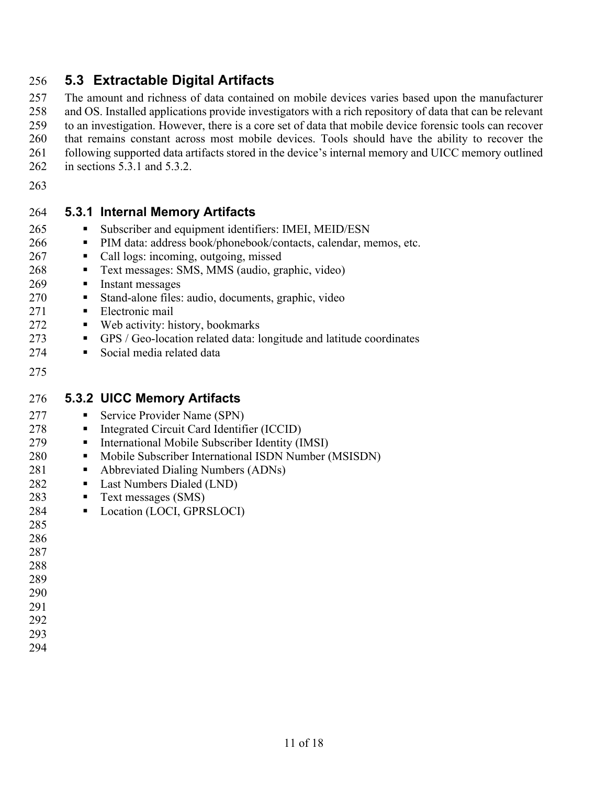### 256 **5.3 Extractable Digital Artifacts**

 257 The amount and richness of data contained on mobile devices varies based upon the manufacturer 258 and OS. Installed applications provide investigators with a rich repository of data that can be relevant 259 to an investigation. However, there is a core set of data that mobile device forensic tools can recover 260 that remains constant across most mobile devices. Tools should have the ability to recover the 261 following supported data artifacts stored in the device's internal memory and UICC memory outlined 262 in sections 5.3.1 and 5.3.2.

11 of 18

263

#### 264 **5.3.1 Internal Memory Artifacts**

- 265 Subscriber and equipment identifiers: IMEI, MEID/ESN
- 266 PIM data: address book/phonebook/contacts, calendar, memos, etc.
- 267 Call logs: incoming, outgoing, missed
- 268 Text messages: SMS, MMS (audio, graphic, video)
- 269 Instant messages
- 270 Stand-alone files: audio, documents, graphic, video
- 271 Electronic mail
- 272 Web activity: history, bookmarks
- 273 GPS / Geo-location related data: longitude and latitude coordinates
- 274 Social media related data
- 275

#### 276 **5.3.2 UICC Memory Artifacts**

- 277 Service Provider Name (SPN)
- 278 Integrated Circuit Card Identifier (ICCID)
- 279 International Mobile Subscriber Identity (IMSI)
- 280 Mobile Subscriber International ISDN Number (MSISDN)
- 281 Abbreviated Dialing Numbers (ADNs)
- 282 Last Numbers Dialed (LND)
- 283 Text messages (SMS)
- 284 Location (LOCI, GPRSLOCI)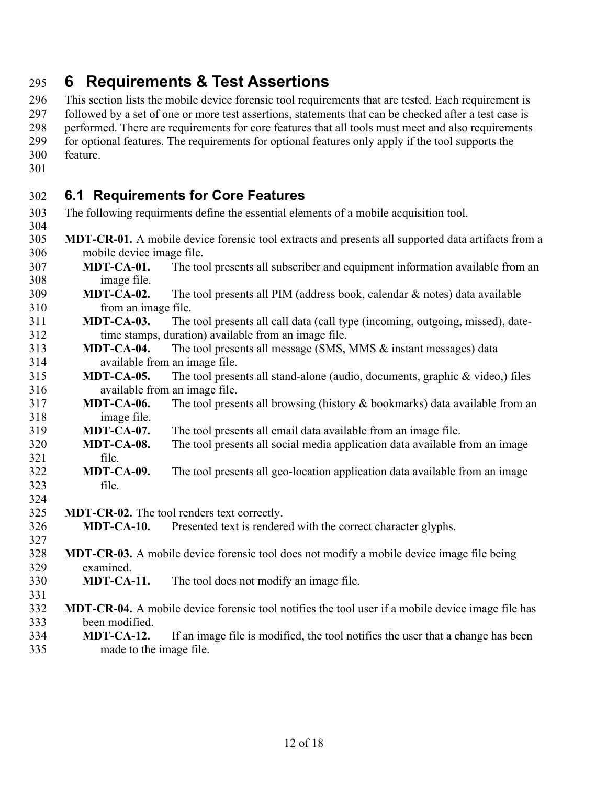# 295 **6 Requirements & Test Assertions**

296 This section lists the mobile device forensic tool requirements that are tested. Each requirement is 297 followed by a set of one or more test assertions, statements that can be checked after a test case is 298 performed. There are requirements for core features that all tools must meet and also requirements 299 for optional features. The requirements for optional features only apply if the tool supports the

300 feature. 301

## 302 **6.1 Requirements for Core Features**

- 303 304 The following requirments define the essential elements of a mobile acquisition tool.
- 305 **MDT-CR-01.** A mobile device forensic tool extracts and presents all supported data artifacts from a 306 mobile device image file.
- 307 **MDT-CA-01.** The tool presents all subscriber and equipment information available from an 308 image file.
- 309 **MDT-CA-02.** The tool presents all PIM (address book, calendar & notes) data available 310 from an image file.
- 311 **MDT-CA-03.** The tool presents all call data (call type (incoming, outgoing, missed), date-312 time stamps, duration) available from an image file.
- 313 **MDT-CA-04.** The tool presents all message (SMS, MMS & instant messages) data 314 available from an image file.
- 315 **MDT-CA-05.** The tool presents all stand-alone (audio, documents, graphic & video,) files 316 available from an image file.
- 317 **MDT-CA-06.** The tool presents all browsing (history & bookmarks) data available from an 318 image file.
- 319 **MDT-CA-07.** The tool presents all email data available from an image file.
- 320 **MDT-CA-08.** The tool presents all social media application data available from an image 321 file.
- 322 **MDT-CA-09.** The tool presents all geo-location application data available from an image 323 file. 324
- 325 **MDT-CR-02.** The tool renders text correctly.
- 326 **MDT-CA-10.** Presented text is rendered with the correct character glyphs.
- 328 **MDT-CR-03.** A mobile device forensic tool does not modify a mobile device image file being examined. 327
- 329 examined.<br>330 **MDT-CA-11.** The tool does not modify an image file.
- 332 **MDT-CR-04.** A mobile device forensic tool notifies the tool user if a mobile device image file has 331 333 been modified.
- 334 **MDT-CA-12.** If an image file is modified, the tool notifies the user that a change has been 335 made to the image file.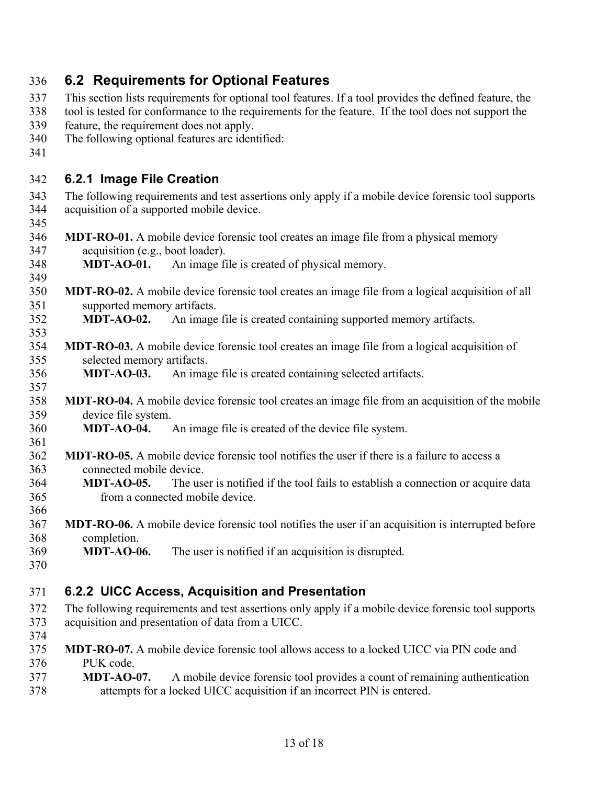| 336        | 6.2 Requirements for Optional Features                                                                                            |
|------------|-----------------------------------------------------------------------------------------------------------------------------------|
| 337        | This section lists requirements for optional tool features. If a tool provides the defined feature, the                           |
| 338        | tool is tested for conformance to the requirements for the feature. If the tool does not support the                              |
| 339        | feature, the requirement does not apply.                                                                                          |
| 340        | The following optional features are identified:                                                                                   |
| 341        |                                                                                                                                   |
| 342        | 6.2.1 Image File Creation                                                                                                         |
| 343        | The following requirements and test assertions only apply if a mobile device forensic tool supports                               |
| 344        | acquisition of a supported mobile device.                                                                                         |
| 345        |                                                                                                                                   |
| 346        | <b>MDT-RO-01.</b> A mobile device forensic tool creates an image file from a physical memory                                      |
| 347        | acquisition (e.g., boot loader).                                                                                                  |
| 348        | <b>MDT-AO-01.</b> An image file is created of physical memory.                                                                    |
| 349        |                                                                                                                                   |
| 350        | <b>MDT-RO-02.</b> A mobile device forensic tool creates an image file from a logical acquisition of all                           |
| 351        | supported memory artifacts.                                                                                                       |
| 352        | An image file is created containing supported memory artifacts.<br><b>MDT-AO-02.</b>                                              |
| 353        |                                                                                                                                   |
| 354<br>355 | <b>MDT-RO-03.</b> A mobile device forensic tool creates an image file from a logical acquisition of<br>selected memory artifacts. |
| 356        | An image file is created containing selected artifacts.<br><b>MDT-AO-03.</b>                                                      |
| 357        |                                                                                                                                   |
| 358        | <b>MDT-RO-04.</b> A mobile device forensic tool creates an image file from an acquisition of the mobile                           |
| 359        | device file system.                                                                                                               |
| 360        | MDT-AO-04.<br>An image file is created of the device file system.                                                                 |
| 361        |                                                                                                                                   |
| 362        | <b>MDT-RO-05.</b> A mobile device forensic tool notifies the user if there is a failure to access a                               |
| 363        | connected mobile device.                                                                                                          |
| 364        | The user is notified if the tool fails to establish a connection or acquire data<br><b>MDT-AO-05.</b>                             |
| 365        | from a connected mobile device.                                                                                                   |
| 366        |                                                                                                                                   |
| 367        | <b>MDT-RO-06.</b> A mobile device forensic tool notifies the user if an acquisition is interrupted before                         |
| 368        | completion.                                                                                                                       |
| 369        | <b>MDT-AO-06.</b><br>The user is notified if an acquisition is disrupted.                                                         |
| 370        |                                                                                                                                   |
| 371        | 6.2.2 UICC Access, Acquisition and Presentation                                                                                   |
| 372        | The following requirements and test assertions only apply if a mobile device forensic tool supports                               |
| 373        | acquisition and presentation of data from a UICC.                                                                                 |
| 374        |                                                                                                                                   |
| 375        | <b>MDT-RO-07.</b> A mobile device forensic tool allows access to a locked UICC via PIN code and                                   |
| 376        | PUK code.                                                                                                                         |
| 377        | <b>MDT-AO-07.</b><br>A mobile device forensic tool provides a count of remaining authentication                                   |
| 378        | attempts for a locked UICC acquisition if an incorrect PIN is entered.                                                            |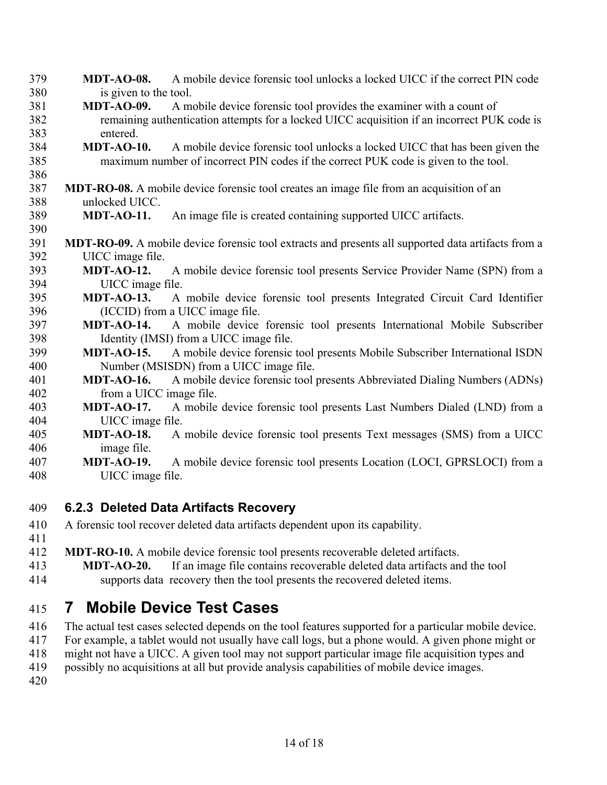391 **MDT-RO-09.** A mobile device forensic tool extracts and presents all supported data artifacts from a 393 **MDT-AO-12.** A mobile device forensic tool presents Service Provider Name (SPN) from a 395 **MDT-AO-13.** A mobile device forensic tool presents Integrated Circuit Card Identifier 397 **MDT-AO-14.** A mobile device forensic tool presents International Mobile Subscriber 399 **MDT-AO-15.** A mobile device forensic tool presents Mobile Subscriber International ISDN 401 **MDT-AO-16.** A mobile device forensic tool presents Abbreviated Dialing Numbers (ADNs) 403 **MDT-AO-17.** A mobile device forensic tool presents Last Numbers Dialed (LND) from a 405 **MDT-AO-18.** A mobile device forensic tool presents Text messages (SMS) from a UICC 407 **MDT-AO-19.** A mobile device forensic tool presents Location (LOCI, GPRSLOCI) from a 379 **MDT-AO-08.** A mobile device forensic tool unlocks a locked UICC if the correct PIN code 380 is given to the tool. 381 **MDT-AO-09.** A mobile device forensic tool provides the examiner with a count of 382 remaining authentication attempts for a locked UICC acquisition if an incorrect PUK code is 383 entered. 384 **MDT-AO-10.** A mobile device forensic tool unlocks a locked UICC that has been given the 385 maximum number of incorrect PIN codes if the correct PUK code is given to the tool. 386 387 **MDT-RO-08.** A mobile device forensic tool creates an image file from an acquisition of an 388 unlocked UICC. 389 **MDT-AO-11.** An image file is created containing supported UICC artifacts. 390 392 UICC image file. 394 UICC image file. 396 (ICCID) from a UICC image file. 398 Identity (IMSI) from a UICC image file. 400 Number (MSISDN) from a UICC image file. 402 from a UICC image file. 404 UICC image file. 406 image file. 408 UICC image file.

### 409 **6.2.3 Deleted Data Artifacts Recovery**

- 410 A forensic tool recover deleted data artifacts dependent upon its capability. 411
- 412 **MDT-RO-10.** A mobile device forensic tool presents recoverable deleted artifacts.
- 414 supports data recovery then the tool presents the recovered deleted items. 413 **MDT-AO-20.** If an image file contains recoverable deleted data artifacts and the tool

# 415 **7 Mobile Device Test Cases**

- 416 The actual test cases selected depends on the tool features supported for a particular mobile device.
- 417 For example, a tablet would not usually have call logs, but a phone would. A given phone might or
- 418 might not have a UICC. A given tool may not support particular image file acquisition types and
- 419 possibly no acquisitions at all but provide analysis capabilities of mobile device images.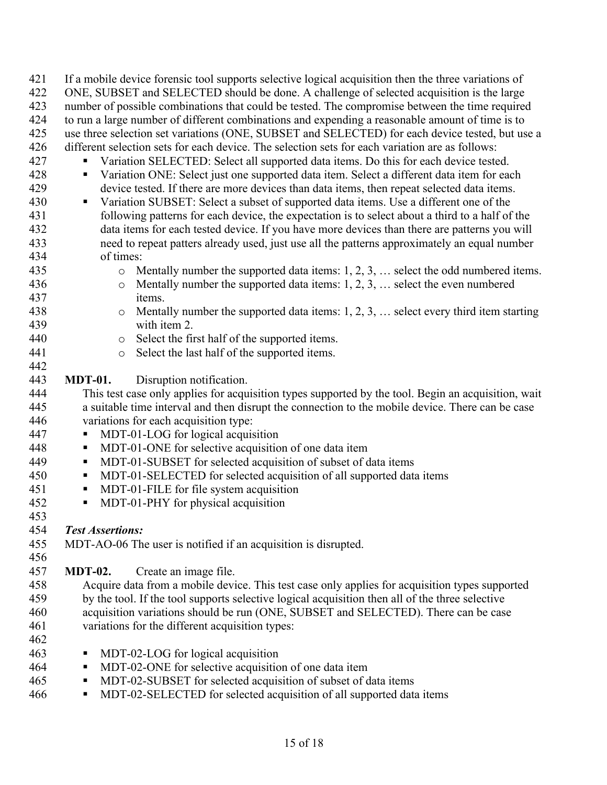| 421 | If a mobile device forensic tool supports selective logical acquisition then the three variations of    |
|-----|---------------------------------------------------------------------------------------------------------|
| 422 | ONE, SUBSET and SELECTED should be done. A challenge of selected acquisition is the large               |
| 423 | number of possible combinations that could be tested. The compromise between the time required          |
| 424 | to run a large number of different combinations and expending a reasonable amount of time is to         |
| 425 | use three selection set variations (ONE, SUBSET and SELECTED) for each device tested, but use a         |
| 426 | different selection sets for each device. The selection sets for each variation are as follows:         |
| 427 | Variation SELECTED: Select all supported data items. Do this for each device tested.<br>п               |
| 428 | Variation ONE: Select just one supported data item. Select a different data item for each<br>п          |
| 429 | device tested. If there are more devices than data items, then repeat selected data items.              |
| 430 | Variation SUBSET: Select a subset of supported data items. Use a different one of the<br>$\blacksquare$ |
| 431 | following patterns for each device, the expectation is to select about a third to a half of the         |
| 432 | data items for each tested device. If you have more devices than there are patterns you will            |
| 433 | need to repeat patters already used, just use all the patterns approximately an equal number            |
| 434 | of times:                                                                                               |
| 435 | Mentally number the supported data items: $1, 2, 3, \ldots$ select the odd numbered items.<br>$\circ$   |
| 436 | Mentally number the supported data items: $1, 2, 3, \ldots$ select the even numbered<br>$\circ$         |
| 437 | items.                                                                                                  |
| 438 | Mentally number the supported data items: $1, 2, 3, \ldots$ select every third item starting<br>$\circ$ |
| 439 | with item 2.                                                                                            |
| 440 | Select the first half of the supported items.<br>$\circ$                                                |
| 441 | Select the last half of the supported items.<br>$\circ$                                                 |
| 442 |                                                                                                         |
| 443 | Disruption notification.<br><b>MDT-01.</b>                                                              |
| 444 | This test case only applies for acquisition types supported by the tool. Begin an acquisition, wait     |
| 445 | a suitable time interval and then disrupt the connection to the mobile device. There can be case        |
| 446 | variations for each acquisition type:                                                                   |
| 447 | MDT-01-LOG for logical acquisition<br>Ξ                                                                 |
| 448 | MDT-01-ONE for selective acquisition of one data item<br>п                                              |
| 449 | MDT-01-SUBSET for selected acquisition of subset of data items<br>п                                     |
| 450 | MDT-01-SELECTED for selected acquisition of all supported data items<br>Ξ                               |
| 451 | MDT-01-FILE for file system acquisition<br>Ξ                                                            |
| 452 | MDT-01-PHY for physical acquisition<br>п                                                                |
| 453 |                                                                                                         |
| 454 | <b>Test Assertions:</b>                                                                                 |
| 455 | MDT-AO-06 The user is notified if an acquisition is disrupted.                                          |
| 456 |                                                                                                         |
| 457 | <b>MDT-02.</b><br>Create an image file.                                                                 |
| 458 | Acquire data from a mobile device. This test case only applies for acquisition types supported          |
| 459 | by the tool. If the tool supports selective logical acquisition then all of the three selective         |
| 460 | acquisition variations should be run (ONE, SUBSET and SELECTED). There can be case                      |
| 461 | variations for the different acquisition types:                                                         |
| 462 |                                                                                                         |
| 463 | MDT-02-LOG for logical acquisition<br>Ξ                                                                 |
| 464 | MDT-02-ONE for selective acquisition of one data item<br>п                                              |
| 465 | MDT-02-SUBSET for selected acquisition of subset of data items<br>Е                                     |
| 466 | MDT-02-SELECTED for selected acquisition of all supported data items<br>п                               |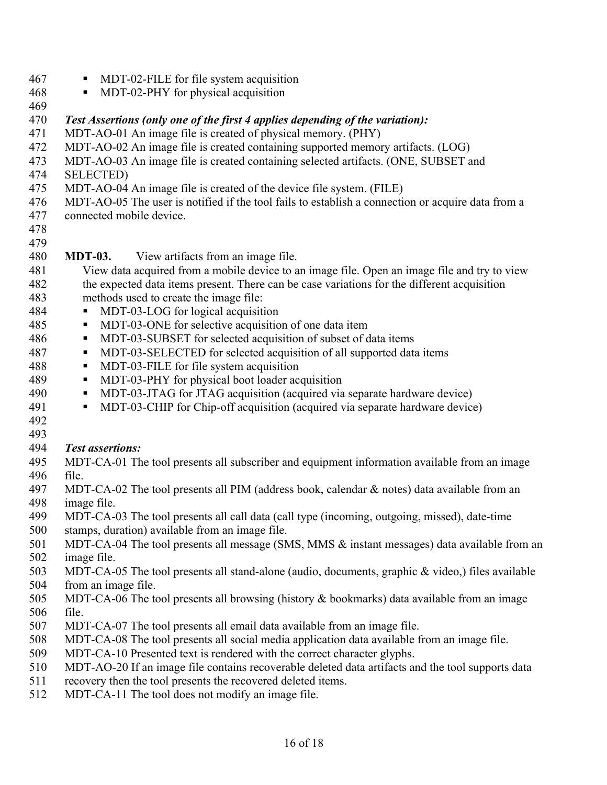- 467 MDT-02-FILE for file system acquisition
- 468 MDT-02-PHY for physical acquisition
- 469

470 *Test Assertions (only one of the first 4 applies depending of the variation):* 

- 471 MDT-AO-01 An image file is created of physical memory. (PHY)
- 472 MDT-AO-02 An image file is created containing supported memory artifacts. (LOG)
- 473 MDT-AO-03 An image file is created containing selected artifacts. (ONE, SUBSET and
- 474 SELECTED)
- 475 MDT-AO-04 An image file is created of the device file system. (FILE)
- 476 MDT-AO-05 The user is notified if the tool fails to establish a connection or acquire data from a
- 477 connected mobile device.
- 478 479

#### 480 **MDT-03.** View artifacts from an image file.

- 481 View data acquired from a mobile device to an image file. Open an image file and try to view 482 the expected data items present. There can be case variations for the different acquisition 483 methods used to create the image file:
- 484 MDT-03-LOG for logical acquisition
- 485 MDT-03-ONE for selective acquisition of one data item
- 486 MDT-03-SUBSET for selected acquisition of subset of data items
- 487 MDT-03-SELECTED for selected acquisition of all supported data items
- 488 MDT-03-FILE for file system acquisition
- 489 MDT-03-PHY for physical boot loader acquisition
- 490 MDT-03-JTAG for JTAG acquisition (acquired via separate hardware device)
- 491 MDT-03-CHIP for Chip-off acquisition (acquired via separate hardware device)
- 492
- 

#### 493<br>494 *Test assertions:*

- file. 495 MDT-CA-01 The tool presents all subscriber and equipment information available from an image
- 496 file.<br>497 MDT-CA-02 The tool presents all PIM (address book, calendar & notes) data available from an 498 image file.
- 499 MDT-CA-03 The tool presents all call data (call type (incoming, outgoing, missed), date-time
- 500 stamps, duration) available from an image file.
- 501 MDT-CA-04 The tool presents all message (SMS, MMS & instant messages) data available from an 502 image file.
- 503 MDT-CA-05 The tool presents all stand-alone (audio, documents, graphic & video,) files available 504 from an image file.
- file. 505 MDT-CA-06 The tool presents all browsing (history & bookmarks) data available from an image
- 506 file.<br>507 MDT-CA-07 The tool presents all email data available from an image file.
- 508 MDT-CA-08 The tool presents all social media application data available from an image file.
- 509 MDT-CA-10 Presented text is rendered with the correct character glyphs.
- 510 MDT-AO-20 If an image file contains recoverable deleted data artifacts and the tool supports data
- 511 recovery then the tool presents the recovered deleted items.
- 512 MDT-CA-11 The tool does not modify an image file.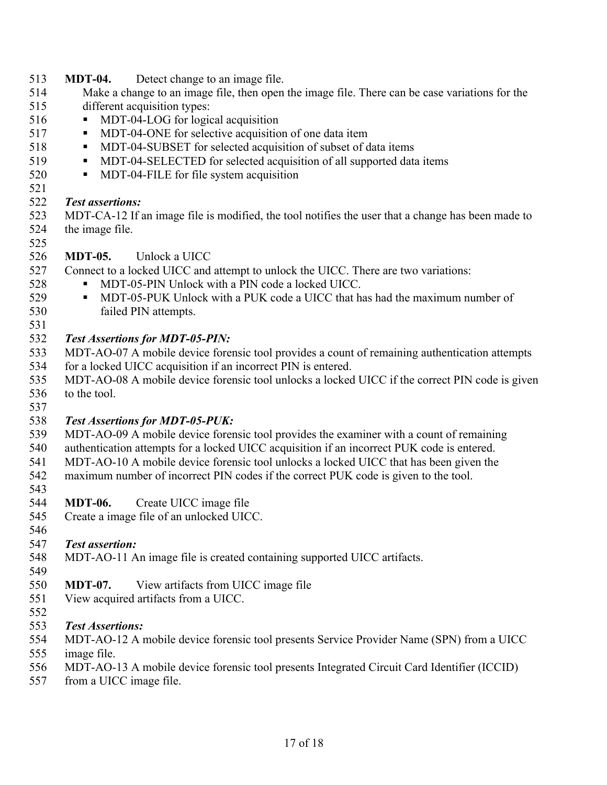- 513 **MDT-04.** Detect change to an image file.
- 514 Make a change to an image file, then open the image file. There can be case variations for the 515 different acquisition types:
- 516 MDT-04-LOG for logical acquisition
- 517 MDT-04-ONE for selective acquisition of one data item
- 518 MDT-04-SUBSET for selected acquisition of subset of data items
- 519 MDT-04-SELECTED for selected acquisition of all supported data items
- 520 MDT-04-FILE for file system acquisition
- 521

531

#### 522 *Test assertions:*

523 MDT-CA-12 If an image file is modified, the tool notifies the user that a change has been made to 524 the image file.

526 **MDT-05.** Unlock a UICC

527 Connect to a locked UICC and attempt to unlock the UICC. There are two variations:

- 528 MDT-05-PIN Unlock with a PIN code a locked UICC.
- 529 MDT-05-PUK Unlock with a PUK code a UICC that has had the maximum number of 530 failed PIN attempts.

#### 532 *Test Assertions for MDT-05-PIN:*

- 533 MDT-AO-07 A mobile device forensic tool provides a count of remaining authentication attempts 534 for a locked UICC acquisition if an incorrect PIN is entered.
- 535 MDT-AO-08 A mobile device forensic tool unlocks a locked UICC if the correct PIN code is given 536 to the tool.
- 537 538 *Test Assertions for MDT-05-PUK:*
- 539 MDT-AO-09 A mobile device forensic tool provides the examiner with a count of remaining
- 540 authentication attempts for a locked UICC acquisition if an incorrect PUK code is entered.
- 541 MDT-AO-10 A mobile device forensic tool unlocks a locked UICC that has been given the
- 542 maximum number of incorrect PIN codes if the correct PUK code is given to the tool. 543
- 544 **MDT-06.** Create UICC image file
- 545 Create a image file of an unlocked UICC.
- 546

549

### 547 *Test assertion:*

- 548 MDT-AO-11 An image file is created containing supported UICC artifacts.
- 550 **MDT-07.** View artifacts from UICC image file
- 551 View acquired artifacts from a UICC.
- 552

#### 553 *Test Assertions:*

- 554 MDT-AO-12 A mobile device forensic tool presents Service Provider Name (SPN) from a UICC
- 555 image file.
- 556 MDT-AO-13 A mobile device forensic tool presents Integrated Circuit Card Identifier (ICCID)
- 557 from a UICC image file.